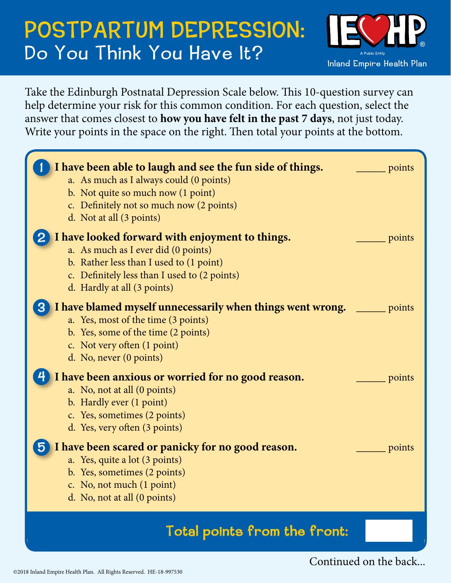## POSTPARTUM DEPRESSION: Do You Think You Have It?



Take the Edinburgh Postnatal Depression Scale below. This 10-question survey can help determine your risk for this common condition. For each question, select the answer that comes closest to **how you have felt in the past 7 days**, not just today. Write your points in the space on the right. Then total your points at the bottom.

| I have been able to laugh and see the fun side of things.<br>a. As much as I always could (0 points)<br>b. Not quite so much now (1 point)                                                                       | points |
|------------------------------------------------------------------------------------------------------------------------------------------------------------------------------------------------------------------|--------|
| c. Definitely not so much now (2 points)<br>d. Not at all (3 points)                                                                                                                                             |        |
| I have looked forward with enjoyment to things.<br>a. As much as I ever did (0 points)<br>b. Rather less than I used to (1 point)<br>c. Definitely less than I used to (2 points)<br>d. Hardly at all (3 points) | points |
| I have blamed myself unnecessarily when things went wrong.<br>a. Yes, most of the time (3 points)<br>b. Yes, some of the time (2 points)<br>c. Not very often (1 point)<br>d. No, never (0 points)               | points |
| I have been anxious or worried for no good reason.<br>a. No, not at all (0 points)<br>b. Hardly ever (1 point)<br>c. Yes, sometimes (2 points)<br>d. Yes, very often (3 points)                                  | points |
| I have been scared or panicky for no good reason.<br>a. Yes, quite a lot (3 points)<br>b. Yes, sometimes (2 points)<br>c. No, not much (1 point)<br>d. No, not at all (0 points)                                 | points |
| Total points from the front:                                                                                                                                                                                     |        |

Continued on the back...